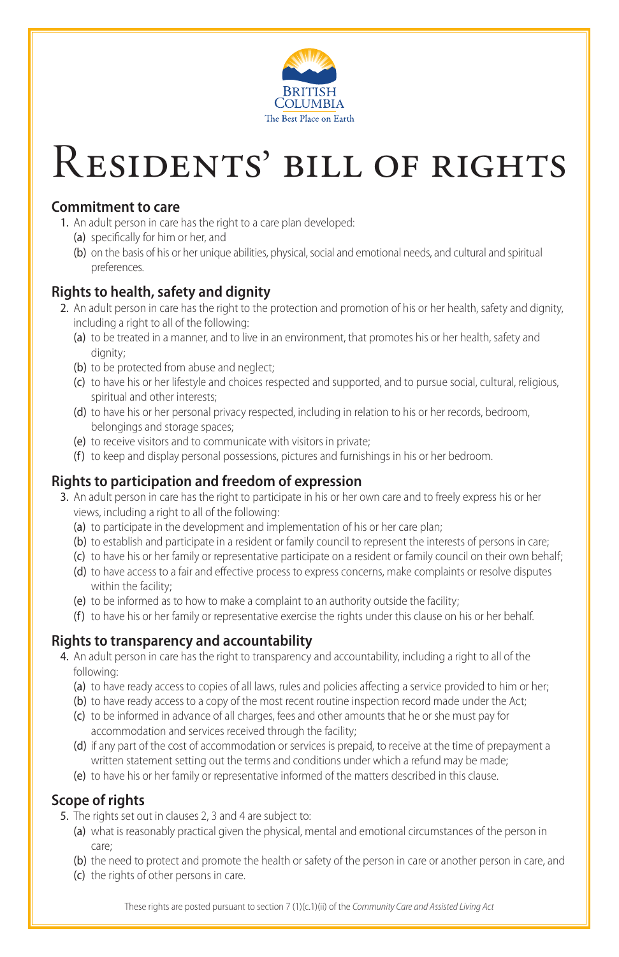These rights are posted pursuant to section 7 (1)(c.1)(ii) of the *Community Care and Assisted Living Act*



# Residents' bill of rights

#### **Commitment to care**

- 1. An adult person in care has the right to a care plan developed:
	- (a) specifically for him or her, and
	- (b) on the basis of his or her unique abilities, physical, social and emotional needs, and cultural and spiritual preferences.

## **Rights to health, safety and dignity**

- 2. An adult person in care has the right to the protection and promotion of his or her health, safety and dignity, including a right to all of the following:
	- (a) to be treated in a manner, and to live in an environment, that promotes his or her health, safety and dignity;
	- (b) to be protected from abuse and neglect;
	- (c) to have his or her lifestyle and choices respected and supported, and to pursue social, cultural, religious, spiritual and other interests;
	- (d) to have his or her personal privacy respected, including in relation to his or her records, bedroom, belongings and storage spaces;
	- (e) to receive visitors and to communicate with visitors in private;
	- (f) to keep and display personal possessions, pictures and furnishings in his or her bedroom.

## **Rights to participation and freedom of expression**

- 3. An adult person in care has the right to participate in his or her own care and to freely express his or her views, including a right to all of the following:
	- (a) to participate in the development and implementation of his or her care plan;
	- (b) to establish and participate in a resident or family council to represent the interests of persons in care;
	- (c) to have his or her family or representative participate on a resident or family council on their own behalf;
	- (d) to have access to a fair and effective process to express concerns, make complaints or resolve disputes within the facility;
	- (e) to be informed as to how to make a complaint to an authority outside the facility;
	- (f) to have his or her family or representative exercise the rights under this clause on his or her behalf.

## **Rights to transparency and accountability**

- 4. An adult person in care has the right to transparency and accountability, including a right to all of the following:
	- (a) to have ready access to copies of all laws, rules and policies affecting a service provided to him or her;
	- (b) to have ready access to a copy of the most recent routine inspection record made under the Act; (c) to be informed in advance of all charges, fees and other amounts that he or she must pay for accommodation and services received through the facility; (d) if any part of the cost of accommodation or services is prepaid, to receive at the time of prepayment a written statement setting out the terms and conditions under which a refund may be made; (e) to have his or her family or representative informed of the matters described in this clause.

## **Scope of rights**

- 5. The rights set out in clauses 2, 3 and 4 are subject to:
	- (a) what is reasonably practical given the physical, mental and emotional circumstances of the person in

care;

(b) the need to protect and promote the health or safety of the person in care or another person in care, and (c) the rights of other persons in care.